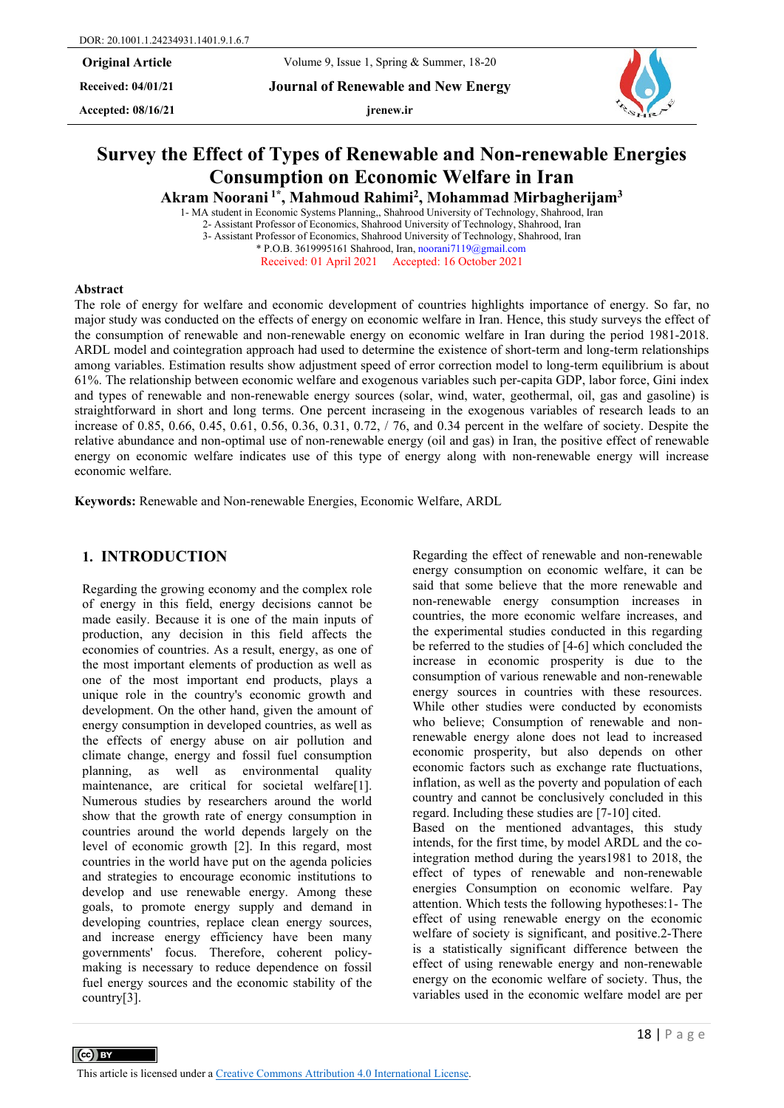**Received: 04/01/21 Journal of Renewable and New Energy**

Accepted:  $08/16/21$  **jrenew.ir** 

# **Survey the Effect of Types of Renewable and Non-renewable Energies Consumption on Economic Welfare in Iran**

**Akram Noorani 1\*, Mahmoud Rahimi2, Mohammad Mirbagherijam3** 

1- MA student in Economic Systems Planning,, Shahrood University of Technology, Shahrood, Iran 2- Assistant Professor of Economics, Shahrood University of Technology, Shahrood, Iran 3- Assistant Professor of Economics, Shahrood University of Technology, Shahrood, Iran \* P.O.B. 3619995161 Shahrood, Iran[, noorani7119@gmail.com](mailto:noorani7119@gmail.com)  Received: 01 April 2021 Accepted: 16 October 2021

#### **Abstract**

 $\left(\text{cc}\right)$  BY

The role of energy for welfare and economic development of countries highlights importance of energy. So far, no major study was conducted on the effects of energy on economic welfare in Iran. Hence, this study surveys the effect of the consumption of renewable and non-renewable energy on economic welfare in Iran during the period 1981-2018. ARDL model and cointegration approach had used to determine the existence of short-term and long-term relationships among variables. Estimation results show adjustment speed of error correction model to long-term equilibrium is about 61%. The relationship between economic welfare and exogenous variables such per-capita GDP, labor force, Gini index and types of renewable and non-renewable energy sources (solar, wind, water, geothermal, oil, gas and gasoline) is straightforward in short and long terms. One percent incraseing in the exogenous variables of research leads to an increase of 0.85, 0.66, 0.45, 0.61, 0.56, 0.36, 0.31, 0.72, / 76, and 0.34 percent in the welfare of society. Despite the relative abundance and non-optimal use of non-renewable energy (oil and gas) in Iran, the positive effect of renewable energy on economic welfare indicates use of this type of energy along with non-renewable energy will increase economic welfare.

**Keywords:** Renewable and Non-renewable Energies, Economic Welfare, ARDL

# **1. INTRODUCTION**

Regarding the growing economy and the complex role of energy in this field, energy decisions cannot be made easily. Because it is one of the main inputs of production, any decision in this field affects the economies of countries. As a result, energy, as one of the most important elements of production as well as one of the most important end products, plays a unique role in the country's economic growth and development. On the other hand, given the amount of energy consumption in developed countries, as well as the effects of energy abuse on air pollution and climate change, energy and fossil fuel consumption planning, as well as environmental quality maintenance, are critical for societal welfare[1]. Numerous studies by researchers around the world show that the growth rate of energy consumption in countries around the world depends largely on the level of economic growth [2]. In this regard, most countries in the world have put on the agenda policies and strategies to encourage economic institutions to develop and use renewable energy. Among these goals, to promote energy supply and demand in developing countries, replace clean energy sources, and increase energy efficiency have been many governments' focus. Therefore, coherent policymaking is necessary to reduce dependence on fossil fuel energy sources and the economic stability of the country[3].

Regarding the effect of renewable and non-renewable energy consumption on economic welfare, it can be said that some believe that the more renewable and non-renewable energy consumption increases in countries, the more economic welfare increases, and the experimental studies conducted in this regarding be referred to the studies of [4-6] which concluded the increase in economic prosperity is due to the consumption of various renewable and non-renewable energy sources in countries with these resources. While other studies were conducted by economists who believe; Consumption of renewable and nonrenewable energy alone does not lead to increased economic prosperity, but also depends on other economic factors such as exchange rate fluctuations, inflation, as well as the poverty and population of each country and cannot be conclusively concluded in this regard. Including these studies are [7-10] cited. Based on the mentioned advantages, this study intends, for the first time, by model ARDL and the cointegration method during the years1981 to 2018, the effect of types of renewable and non-renewable energies Consumption on economic welfare. Pay attention. Which tests the following hypotheses:1- The effect of using renewable energy on the economic welfare of society is significant, and positive.2-There is a statistically significant difference between the effect of using renewable energy and non-renewable energy on the economic welfare of society. Thus, the variables used in the economic welfare model are per

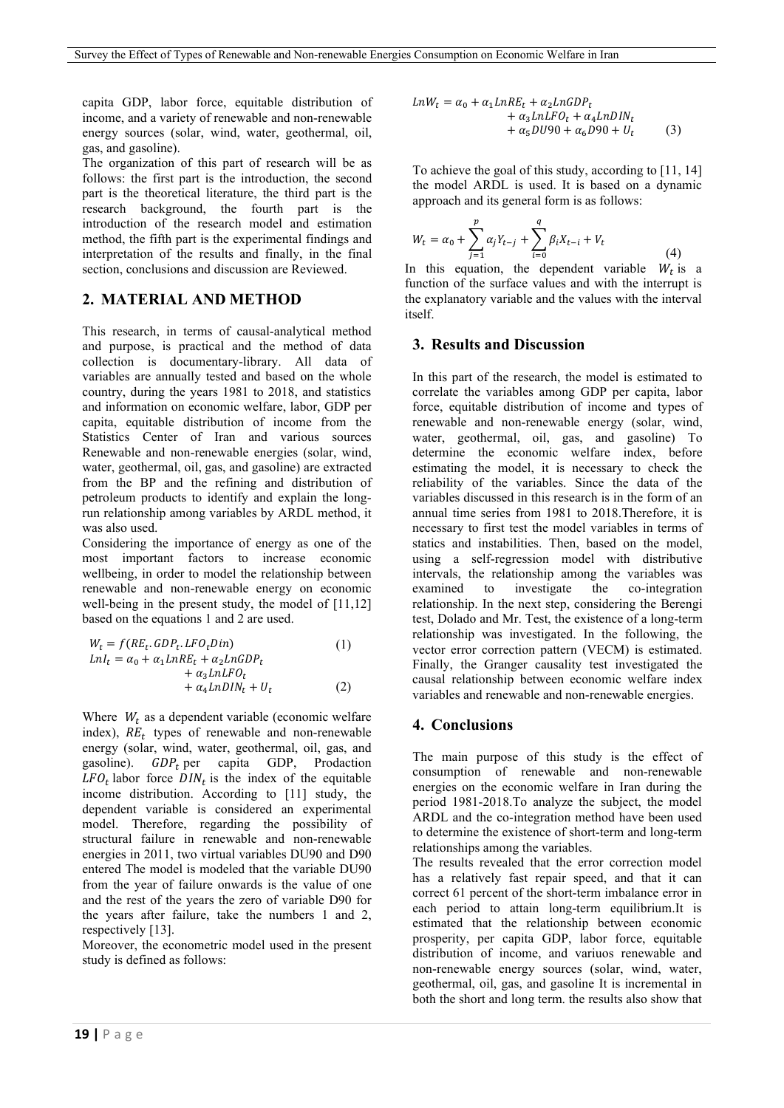capita GDP, labor force, equitable distribution of income, and a variety of renewable and non-renewable energy sources (solar, wind, water, geothermal, oil, gas, and gasoline).

The organization of this part of research will be as follows: the first part is the introduction, the second part is the theoretical literature, the third part is the research background, the fourth part is the introduction of the research model and estimation method, the fifth part is the experimental findings and interpretation of the results and finally, in the final section, conclusions and discussion are Reviewed.

## **2. MATERIAL AND METHOD**

This research, in terms of causal-analytical method and purpose, is practical and the method of data collection is documentary-library. All data of variables are annually tested and based on the whole country, during the years 1981 to 2018, and statistics and information on economic welfare, labor, GDP per capita, equitable distribution of income from the Statistics Center of Iran and various sources Renewable and non-renewable energies (solar, wind, water, geothermal, oil, gas, and gasoline) are extracted from the BP and the refining and distribution of petroleum products to identify and explain the longrun relationship among variables by ARDL method, it was also used.

Considering the importance of energy as one of the most important factors to increase economic wellbeing, in order to model the relationship between renewable and non-renewable energy on economic well-being in the present study, the model of [11,12] based on the equations 1 and 2 are used.

$$
W_t = f(RE_t.GDP_t.LFO_tDin)
$$
  
\n
$$
LnI_t = \alpha_0 + \alpha_1 LnRE_t + \alpha_2 LnGDP_t
$$
  
\n
$$
+ \alpha_3 LnLFO_t
$$
  
\n
$$
+ \alpha_4 LnDIN_t + U_t
$$
\n(2)

Where  $W_t$  as a dependent variable (economic welfare index),  $RE_t$  types of renewable and non-renewable energy (solar, wind, water, geothermal, oil, gas, and gasoline).  $GDP<sub>t</sub>$  per capita GDP, Prodaction  $LFO_t$  labor force  $DIN_t$  is the index of the equitable income distribution. According to [11] study, the dependent variable is considered an experimental model. Therefore, regarding the possibility of structural failure in renewable and non-renewable energies in 2011, two virtual variables DU90 and D90 entered The model is modeled that the variable DU90 from the year of failure onwards is the value of one and the rest of the years the zero of variable D90 for the years after failure, take the numbers 1 and 2, respectively [13].

Moreover, the econometric model used in the present study is defined as follows:

$$
LnW_t = \alpha_0 + \alpha_1 LnRE_t + \alpha_2 LnGDP_t + \alpha_3 LnLFO_t + \alpha_4 LnDIN_t + \alpha_5 D U90 + \alpha_6 D90 + U_t
$$
 (3)

To achieve the goal of this study, according to [11, 14] the model ARDL is used. It is based on a dynamic approach and its general form is as follows:

$$
W_t = \alpha_0 + \sum_{j=1}^p \alpha_j Y_{t-j} + \sum_{i=0}^q \beta_i X_{t-i} + V_t
$$
\n(4)

In this equation, the dependent variable  $W_t$  is a function of the surface values and with the interrupt is the explanatory variable and the values with the interval itself.

#### **3. Results and Discussion**

In this part of the research, the model is estimated to correlate the variables among GDP per capita, labor force, equitable distribution of income and types of renewable and non-renewable energy (solar, wind, water, geothermal, oil, gas, and gasoline) To determine the economic welfare index, before estimating the model, it is necessary to check the reliability of the variables. Since the data of the variables discussed in this research is in the form of an annual time series from 1981 to 2018.Therefore, it is necessary to first test the model variables in terms of statics and instabilities. Then, based on the model, using a self-regression model with distributive intervals, the relationship among the variables was examined to investigate the co-integration relationship. In the next step, considering the Berengi test, Dolado and Mr. Test, the existence of a long-term relationship was investigated. In the following, the vector error correction pattern (VECM) is estimated. Finally, the Granger causality test investigated the causal relationship between economic welfare index variables and renewable and non-renewable energies.

#### **4. Conclusions**

The main purpose of this study is the effect of consumption of renewable and non-renewable energies on the economic welfare in Iran during the period 1981-2018.To analyze the subject, the model ARDL and the co-integration method have been used to determine the existence of short-term and long-term relationships among the variables.

The results revealed that the error correction model has a relatively fast repair speed, and that it can correct 61 percent of the short-term imbalance error in each period to attain long-term equilibrium.It is estimated that the relationship between economic prosperity, per capita GDP, labor force, equitable distribution of income, and variuos renewable and non-renewable energy sources (solar, wind, water, geothermal, oil, gas, and gasoline It is incremental in both the short and long term. the results also show that